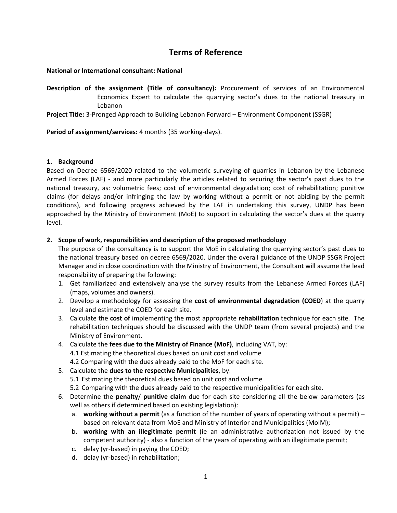# **Terms of Reference**

# **National or International consultant: National**

**Description of the assignment (Title of consultancy):** Procurement of services of an Environmental Economics Expert to calculate the quarrying sector's dues to the national treasury in Lebanon

**Project Title:** 3-Pronged Approach to Building Lebanon Forward – Environment Component (SSGR)

**Period of assignment/services:** 4 months (35 working-days).

# **1. Background**

Based on Decree 6569/2020 related to the volumetric surveying of quarries in Lebanon by the Lebanese Armed Forces (LAF) - and more particularly the articles related to securing the sector's past dues to the national treasury, as: volumetric fees; cost of environmental degradation; cost of rehabilitation; punitive claims (for delays and/or infringing the law by working without a permit or not abiding by the permit conditions), and following progress achieved by the LAF in undertaking this survey, UNDP has been approached by the Ministry of Environment (MoE) to support in calculating the sector's dues at the quarry level.

# **2. Scope of work, responsibilities and description of the proposed methodology**

The purpose of the consultancy is to support the MoE in calculating the quarrying sector's past dues to the national treasury based on decree 6569/2020. Under the overall guidance of the UNDP SSGR Project Manager and in close coordination with the Ministry of Environment, the Consultant will assume the lead responsibility of preparing the following:

- 1. Get familiarized and extensively analyse the survey results from the Lebanese Armed Forces (LAF) (maps, volumes and owners).
- 2. Develop a methodology for assessing the **cost of environmental degradation (COED**) at the quarry level and estimate the COED for each site.
- 3. Calculate the **cost of** implementing the most appropriate **rehabilitation** technique for each site. The rehabilitation techniques should be discussed with the UNDP team (from several projects) and the Ministry of Environment.
- 4. Calculate the **fees due to the Ministry of Finance (MoF)**, including VAT, by: 4.1 Estimating the theoretical dues based on unit cost and volume 4.2 Comparing with the dues already paid to the MoF for each site.
- 5. Calculate the **dues to the respective Municipalities**, by:
	- 5.1 Estimating the theoretical dues based on unit cost and volume
	- 5.2 Comparing with the dues already paid to the respective municipalities for each site.
- 6. Determine the **penalty**/ **punitive claim** due for each site considering all the below parameters (as well as others if determined based on existing legislation):
	- a. **working without a permit** (as a function of the number of years of operating without a permit) based on relevant data from MoE and Ministry of Interior and Municipalities (MoIM);
	- b. **working with an illegitimate permit** (ie an administrative authorization not issued by the competent authority) - also a function of the years of operating with an illegitimate permit;
	- c. delay (yr-based) in paying the COED;
	- d. delay (yr-based) in rehabilitation;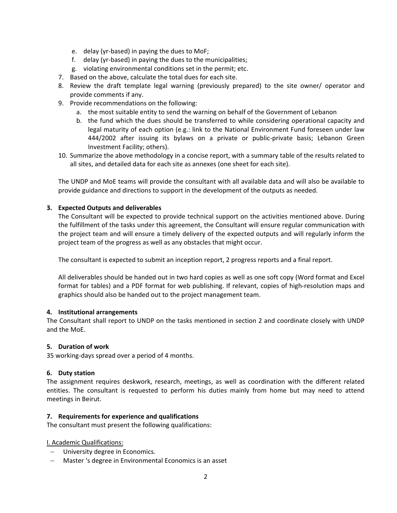- e. delay (yr-based) in paying the dues to MoF;
- f. delay (yr-based) in paying the dues to the municipalities;
- g. violating environmental conditions set in the permit; etc.
- 7. Based on the above, calculate the total dues for each site.
- 8. Review the draft template legal warning (previously prepared) to the site owner/ operator and provide comments if any.
- 9. Provide recommendations on the following:
	- a. the most suitable entity to send the warning on behalf of the Government of Lebanon
	- b. the fund which the dues should be transferred to while considering operational capacity and legal maturity of each option (e.g.: link to the National Environment Fund foreseen under law 444/2002 after issuing its bylaws on a private or public-private basis; Lebanon Green Investment Facility; others).
- 10. Summarize the above methodology in a concise report, with a summary table of the results related to all sites, and detailed data for each site as annexes (one sheet for each site).

The UNDP and MoE teams will provide the consultant with all available data and will also be available to provide guidance and directions to support in the development of the outputs as needed.

### **3. Expected Outputs and deliverables**

The Consultant will be expected to provide technical support on the activities mentioned above. During the fulfillment of the tasks under this agreement, the Consultant will ensure regular communication with the project team and will ensure a timely delivery of the expected outputs and will regularly inform the project team of the progress as well as any obstacles that might occur.

The consultant is expected to submit an inception report, 2 progress reports and a final report.

All deliverables should be handed out in two hard copies as well as one soft copy (Word format and Excel format for tables) and a PDF format for web publishing. If relevant, copies of high-resolution maps and graphics should also be handed out to the project management team.

#### **4. Institutional arrangements**

The Consultant shall report to UNDP on the tasks mentioned in section 2 and coordinate closely with UNDP and the MoE.

#### **5. Duration of work**

35 working-days spread over a period of 4 months.

# **6. Duty station**

The assignment requires deskwork, research, meetings, as well as coordination with the different related entities. The consultant is requested to perform his duties mainly from home but may need to attend meetings in Beirut.

#### **7. Requirements for experience and qualifications**

The consultant must present the following qualifications:

I. Academic Qualifications:

- − University degree in Economics.
- − Master 's degree in Environmental Economics is an asset